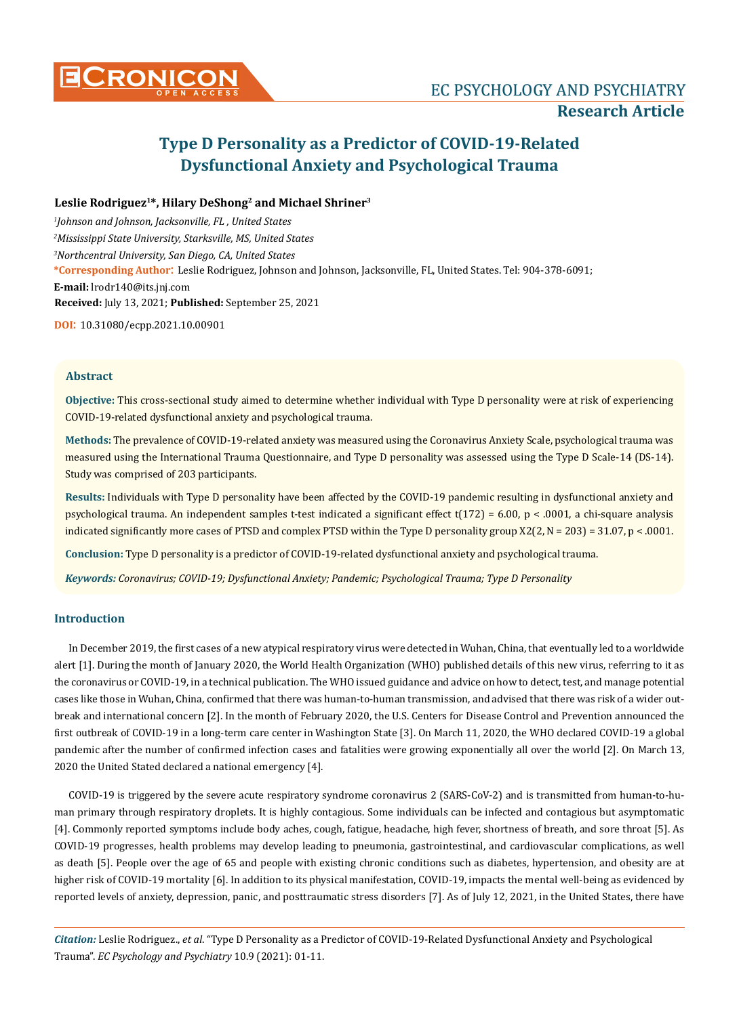

# **Type D Personality as a Predictor of COVID-19-Related Dysfunctional Anxiety and Psychological Trauma**

# **Leslie Rodriguez1\*, Hilary DeShong2 and Michael Shriner3**

*1 Johnson and Johnson, Jacksonville, FL , United States 2 Mississippi State University, Starksville, MS, United States 3 Northcentral University, San Diego, CA, United States* **\*Corresponding Author**: Leslie Rodriguez, Johnson and Johnson, Jacksonville, FL, United States. Tel: 904-378-6091; **E-mail:** [lrodr140@its.jnj.com](mailto:lrodr140@its.jnj.com) **Received:** July 13, 2021; **Published:** September 25, 2021

**DOI**: 10.31080/ecpp.2021.10.00901

# **Abstract**

**Objective:** This cross-sectional study aimed to determine whether individual with Type D personality were at risk of experiencing COVID-19-related dysfunctional anxiety and psychological trauma.

**Methods:** The prevalence of COVID-19-related anxiety was measured using the Coronavirus Anxiety Scale, psychological trauma was measured using the International Trauma Questionnaire, and Type D personality was assessed using the Type D Scale-14 (DS-14). Study was comprised of 203 participants.

**Results:** Individuals with Type D personality have been affected by the COVID-19 pandemic resulting in dysfunctional anxiety and psychological trauma. An independent samples t-test indicated a significant effect  $t(172) = 6.00$ , p < .0001, a chi-square analysis indicated significantly more cases of PTSD and complex PTSD within the Type D personality group  $X2(2, N = 203) = 31.07$ , p < .0001.

**Conclusion:** Type D personality is a predictor of COVID-19-related dysfunctional anxiety and psychological trauma.

*Keywords: Coronavirus; COVID-19; Dysfunctional Anxiety; Pandemic; Psychological Trauma; Type D Personality*

# **Introduction**

In December 2019, the first cases of a new atypical respiratory virus were detected in Wuhan, China, that eventually led to a worldwide alert [1]. During the month of January 2020, the World Health Organization (WHO) published details of this new virus, referring to it as the coronavirus or COVID-19, in a technical publication. The WHO issued guidance and advice on how to detect, test, and manage potential cases like those in Wuhan, China, confirmed that there was human-to-human transmission, and advised that there was risk of a wider outbreak and international concern [2]. In the month of February 2020, the U.S. Centers for Disease Control and Prevention announced the first outbreak of COVID-19 in a long-term care center in Washington State [3]. On March 11, 2020, the WHO declared COVID-19 a global pandemic after the number of confirmed infection cases and fatalities were growing exponentially all over the world [2]. On March 13, 2020 the United Stated declared a national emergency [4].

COVID-19 is triggered by the severe acute respiratory syndrome coronavirus 2 (SARS-CoV-2) and is transmitted from human-to-human primary through respiratory droplets. It is highly contagious. Some individuals can be infected and contagious but asymptomatic [4]. Commonly reported symptoms include body aches, cough, fatigue, headache, high fever, shortness of breath, and sore throat [5]. As COVID-19 progresses, health problems may develop leading to pneumonia, gastrointestinal, and cardiovascular complications, as well as death [5]. People over the age of 65 and people with existing chronic conditions such as diabetes, hypertension, and obesity are at higher risk of COVID-19 mortality [6]. In addition to its physical manifestation, COVID-19, impacts the mental well-being as evidenced by reported levels of anxiety, depression, panic, and posttraumatic stress disorders [7]. As of July 12, 2021, in the United States, there have

*Citation:* Leslie Rodriguez., *et al*. "Type D Personality as a Predictor of COVID-19-Related Dysfunctional Anxiety and Psychological Trauma". *EC Psychology and Psychiatry* 10.9 (2021): 01-11.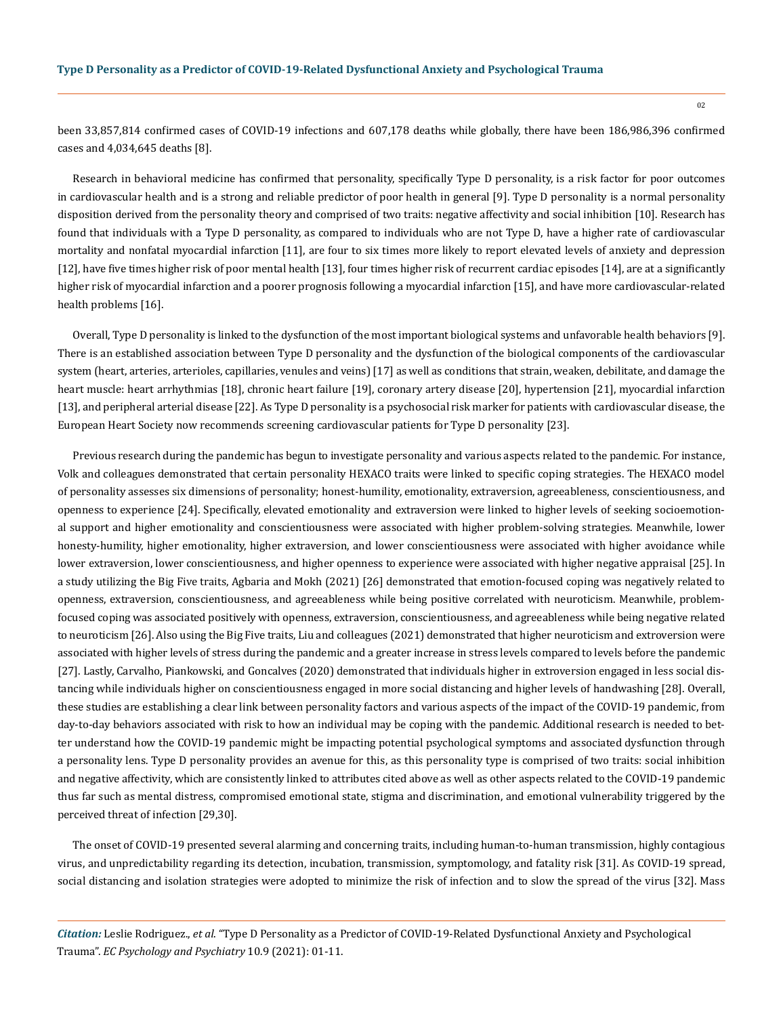been 33,857,814 confirmed cases of COVID-19 infections and 607,178 deaths while globally, there have been 186,986,396 confirmed cases and 4,034,645 deaths [8].

Research in behavioral medicine has confirmed that personality, specifically Type D personality, is a risk factor for poor outcomes in cardiovascular health and is a strong and reliable predictor of poor health in general [9]. Type D personality is a normal personality disposition derived from the personality theory and comprised of two traits: negative affectivity and social inhibition [10]. Research has found that individuals with a Type D personality, as compared to individuals who are not Type D, have a higher rate of cardiovascular mortality and nonfatal myocardial infarction [11], are four to six times more likely to report elevated levels of anxiety and depression [12], have five times higher risk of poor mental health [13], four times higher risk of recurrent cardiac episodes [14], are at a significantly higher risk of myocardial infarction and a poorer prognosis following a myocardial infarction [15], and have more cardiovascular-related health problems [16].

Overall, Type D personality is linked to the dysfunction of the most important biological systems and unfavorable health behaviors [9]. There is an established association between Type D personality and the dysfunction of the biological components of the cardiovascular system (heart, arteries, arterioles, capillaries, venules and veins) [17] as well as conditions that strain, weaken, debilitate, and damage the heart muscle: heart arrhythmias [18], chronic heart failure [19], coronary artery disease [20], hypertension [21], myocardial infarction [13], and peripheral arterial disease [22]. As Type D personality is a psychosocial risk marker for patients with cardiovascular disease, the European Heart Society now recommends screening cardiovascular patients for Type D personality [23].

Previous research during the pandemic has begun to investigate personality and various aspects related to the pandemic. For instance, Volk and colleagues demonstrated that certain personality HEXACO traits were linked to specific coping strategies. The HEXACO model of personality assesses six dimensions of personality; honest-humility, emotionality, extraversion, agreeableness, conscientiousness, and openness to experience [24]. Specifically, elevated emotionality and extraversion were linked to higher levels of seeking socioemotional support and higher emotionality and conscientiousness were associated with higher problem-solving strategies. Meanwhile, lower honesty-humility, higher emotionality, higher extraversion, and lower conscientiousness were associated with higher avoidance while lower extraversion, lower conscientiousness, and higher openness to experience were associated with higher negative appraisal [25]. In a study utilizing the Big Five traits, Agbaria and Mokh (2021) [26] demonstrated that emotion-focused coping was negatively related to openness, extraversion, conscientiousness, and agreeableness while being positive correlated with neuroticism. Meanwhile, problemfocused coping was associated positively with openness, extraversion, conscientiousness, and agreeableness while being negative related to neuroticism [26]. Also using the Big Five traits, Liu and colleagues (2021) demonstrated that higher neuroticism and extroversion were associated with higher levels of stress during the pandemic and a greater increase in stress levels compared to levels before the pandemic [27]. Lastly, Carvalho, Piankowski, and Goncalves (2020) demonstrated that individuals higher in extroversion engaged in less social distancing while individuals higher on conscientiousness engaged in more social distancing and higher levels of handwashing [28]. Overall, these studies are establishing a clear link between personality factors and various aspects of the impact of the COVID-19 pandemic, from day-to-day behaviors associated with risk to how an individual may be coping with the pandemic. Additional research is needed to better understand how the COVID-19 pandemic might be impacting potential psychological symptoms and associated dysfunction through a personality lens. Type D personality provides an avenue for this, as this personality type is comprised of two traits: social inhibition and negative affectivity, which are consistently linked to attributes cited above as well as other aspects related to the COVID-19 pandemic thus far such as mental distress, compromised emotional state, stigma and discrimination, and emotional vulnerability triggered by the perceived threat of infection [29,30].

The onset of COVID-19 presented several alarming and concerning traits, including human-to-human transmission, highly contagious virus, and unpredictability regarding its detection, incubation, transmission, symptomology, and fatality risk [31]. As COVID-19 spread, social distancing and isolation strategies were adopted to minimize the risk of infection and to slow the spread of the virus [32]. Mass

*Citation:* Leslie Rodriguez., *et al*. "Type D Personality as a Predictor of COVID-19-Related Dysfunctional Anxiety and Psychological Trauma". *EC Psychology and Psychiatry* 10.9 (2021): 01-11.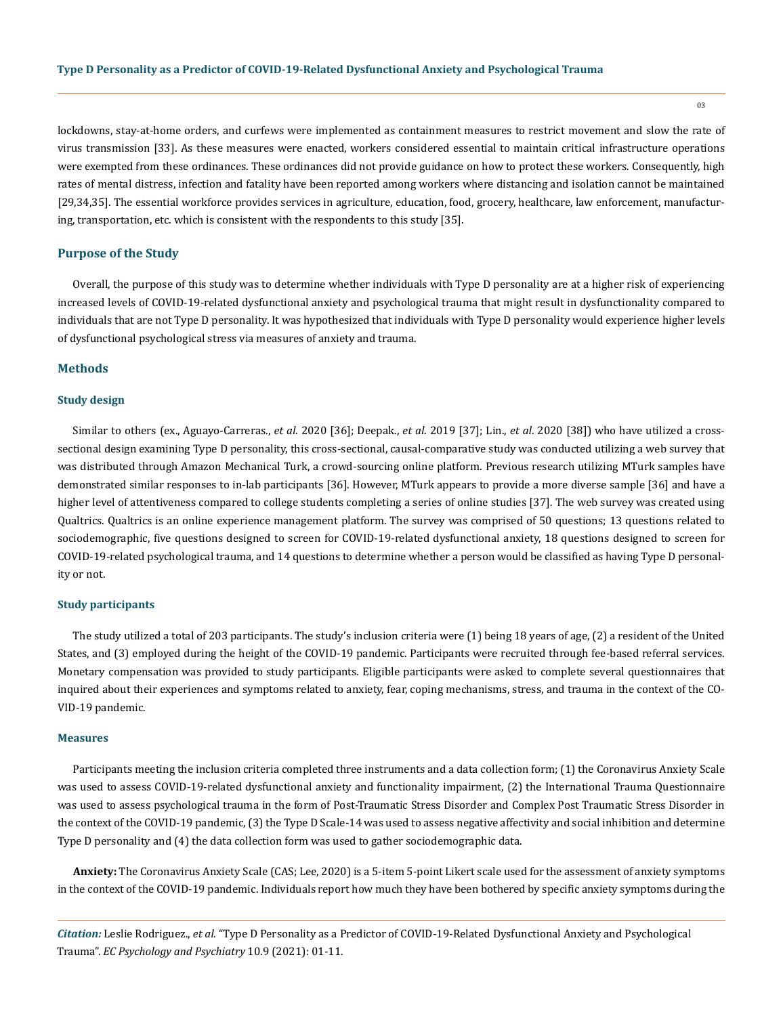lockdowns, stay-at-home orders, and curfews were implemented as containment measures to restrict movement and slow the rate of virus transmission [33]. As these measures were enacted, workers considered essential to maintain critical infrastructure operations were exempted from these ordinances. These ordinances did not provide guidance on how to protect these workers. Consequently, high rates of mental distress, infection and fatality have been reported among workers where distancing and isolation cannot be maintained [29,34,35]. The essential workforce provides services in agriculture, education, food, grocery, healthcare, law enforcement, manufacturing, transportation, etc. which is consistent with the respondents to this study [35].

#### **Purpose of the Study**

Overall, the purpose of this study was to determine whether individuals with Type D personality are at a higher risk of experiencing increased levels of COVID-19-related dysfunctional anxiety and psychological trauma that might result in dysfunctionality compared to individuals that are not Type D personality. It was hypothesized that individuals with Type D personality would experience higher levels of dysfunctional psychological stress via measures of anxiety and trauma.

#### **Methods**

#### **Study design**

Similar to others (ex., Aguayo-Carreras., *et al*. 2020 [36]; Deepak., *et al*. 2019 [37]; Lin., *et al*. 2020 [38]) who have utilized a crosssectional design examining Type D personality, this cross-sectional, causal-comparative study was conducted utilizing a web survey that was distributed through Amazon Mechanical Turk, a crowd-sourcing online platform. Previous research utilizing MTurk samples have demonstrated similar responses to in-lab participants [36]. However, MTurk appears to provide a more diverse sample [36] and have a higher level of attentiveness compared to college students completing a series of online studies [37]. The web survey was created using Qualtrics. Qualtrics is an online experience management platform. The survey was comprised of 50 questions; 13 questions related to sociodemographic, five questions designed to screen for COVID-19-related dysfunctional anxiety, 18 questions designed to screen for COVID-19-related psychological trauma, and 14 questions to determine whether a person would be classified as having Type D personality or not.

#### **Study participants**

The study utilized a total of 203 participants. The study's inclusion criteria were (1) being 18 years of age, (2) a resident of the United States, and (3) employed during the height of the COVID-19 pandemic. Participants were recruited through fee-based referral services. Monetary compensation was provided to study participants. Eligible participants were asked to complete several questionnaires that inquired about their experiences and symptoms related to anxiety, fear, coping mechanisms, stress, and trauma in the context of the CO-VID-19 pandemic.

#### **Measures**

Participants meeting the inclusion criteria completed three instruments and a data collection form; (1) the Coronavirus Anxiety Scale was used to assess COVID-19-related dysfunctional anxiety and functionality impairment, (2) the International Trauma Questionnaire was used to assess psychological trauma in the form of Post-Traumatic Stress Disorder and Complex Post Traumatic Stress Disorder in the context of the COVID-19 pandemic, (3) the Type D Scale-14 was used to assess negative affectivity and social inhibition and determine Type D personality and (4) the data collection form was used to gather sociodemographic data.

**Anxiety:** The Coronavirus Anxiety Scale (CAS; Lee, 2020) is a 5-item 5-point Likert scale used for the assessment of anxiety symptoms in the context of the COVID-19 pandemic. Individuals report how much they have been bothered by specific anxiety symptoms during the

*Citation:* Leslie Rodriguez., *et al*. "Type D Personality as a Predictor of COVID-19-Related Dysfunctional Anxiety and Psychological Trauma". *EC Psychology and Psychiatry* 10.9 (2021): 01-11.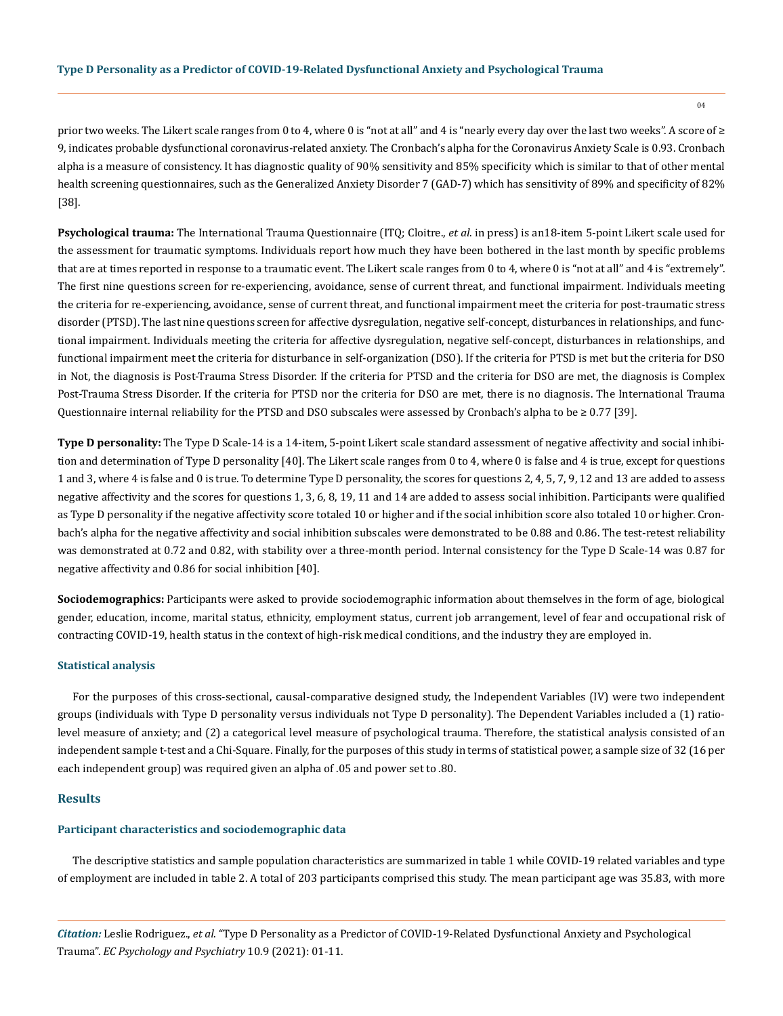prior two weeks. The Likert scale ranges from 0 to 4, where 0 is "not at all" and 4 is "nearly every day over the last two weeks". A score of  $\geq$ 9, indicates probable dysfunctional coronavirus-related anxiety. The Cronbach's alpha for the Coronavirus Anxiety Scale is 0.93. Cronbach alpha is a measure of consistency. It has diagnostic quality of 90% sensitivity and 85% specificity which is similar to that of other mental health screening questionnaires, such as the Generalized Anxiety Disorder 7 (GAD-7) which has sensitivity of 89% and specificity of 82% [38].

**Psychological trauma:** The International Trauma Questionnaire (ITQ; Cloitre., *et al*. in press) is an18-item 5-point Likert scale used for the assessment for traumatic symptoms. Individuals report how much they have been bothered in the last month by specific problems that are at times reported in response to a traumatic event. The Likert scale ranges from 0 to 4, where 0 is "not at all" and 4 is "extremely". The first nine questions screen for re-experiencing, avoidance, sense of current threat, and functional impairment. Individuals meeting the criteria for re-experiencing, avoidance, sense of current threat, and functional impairment meet the criteria for post-traumatic stress disorder (PTSD). The last nine questions screen for affective dysregulation, negative self-concept, disturbances in relationships, and functional impairment. Individuals meeting the criteria for affective dysregulation, negative self-concept, disturbances in relationships, and functional impairment meet the criteria for disturbance in self-organization (DSO). If the criteria for PTSD is met but the criteria for DSO in Not, the diagnosis is Post-Trauma Stress Disorder. If the criteria for PTSD and the criteria for DSO are met, the diagnosis is Complex Post-Trauma Stress Disorder. If the criteria for PTSD nor the criteria for DSO are met, there is no diagnosis. The International Trauma Questionnaire internal reliability for the PTSD and DSO subscales were assessed by Cronbach's alpha to be ≥ 0.77 [39].

**Type D personality:** The Type D Scale-14 is a 14-item, 5-point Likert scale standard assessment of negative affectivity and social inhibition and determination of Type D personality [40]. The Likert scale ranges from 0 to 4, where 0 is false and 4 is true, except for questions 1 and 3, where 4 is false and 0 is true. To determine Type D personality, the scores for questions 2, 4, 5, 7, 9, 12 and 13 are added to assess negative affectivity and the scores for questions 1, 3, 6, 8, 19, 11 and 14 are added to assess social inhibition. Participants were qualified as Type D personality if the negative affectivity score totaled 10 or higher and if the social inhibition score also totaled 10 or higher. Cronbach's alpha for the negative affectivity and social inhibition subscales were demonstrated to be 0.88 and 0.86. The test-retest reliability was demonstrated at 0.72 and 0.82, with stability over a three-month period. Internal consistency for the Type D Scale-14 was 0.87 for negative affectivity and 0.86 for social inhibition [40].

**Sociodemographics:** Participants were asked to provide sociodemographic information about themselves in the form of age, biological gender, education, income, marital status, ethnicity, employment status, current job arrangement, level of fear and occupational risk of contracting COVID-19, health status in the context of high-risk medical conditions, and the industry they are employed in.

#### **Statistical analysis**

For the purposes of this cross-sectional, causal-comparative designed study, the Independent Variables (IV) were two independent groups (individuals with Type D personality versus individuals not Type D personality). The Dependent Variables included a (1) ratiolevel measure of anxiety; and (2) a categorical level measure of psychological trauma. Therefore, the statistical analysis consisted of an independent sample t-test and a Chi-Square. Finally, for the purposes of this study in terms of statistical power, a sample size of 32 (16 per each independent group) was required given an alpha of .05 and power set to .80.

#### **Results**

#### **Participant characteristics and sociodemographic data**

The descriptive statistics and sample population characteristics are summarized in table 1 while COVID-19 related variables and type of employment are included in table 2. A total of 203 participants comprised this study. The mean participant age was 35.83, with more

*Citation:* Leslie Rodriguez., *et al*. "Type D Personality as a Predictor of COVID-19-Related Dysfunctional Anxiety and Psychological Trauma". *EC Psychology and Psychiatry* 10.9 (2021): 01-11.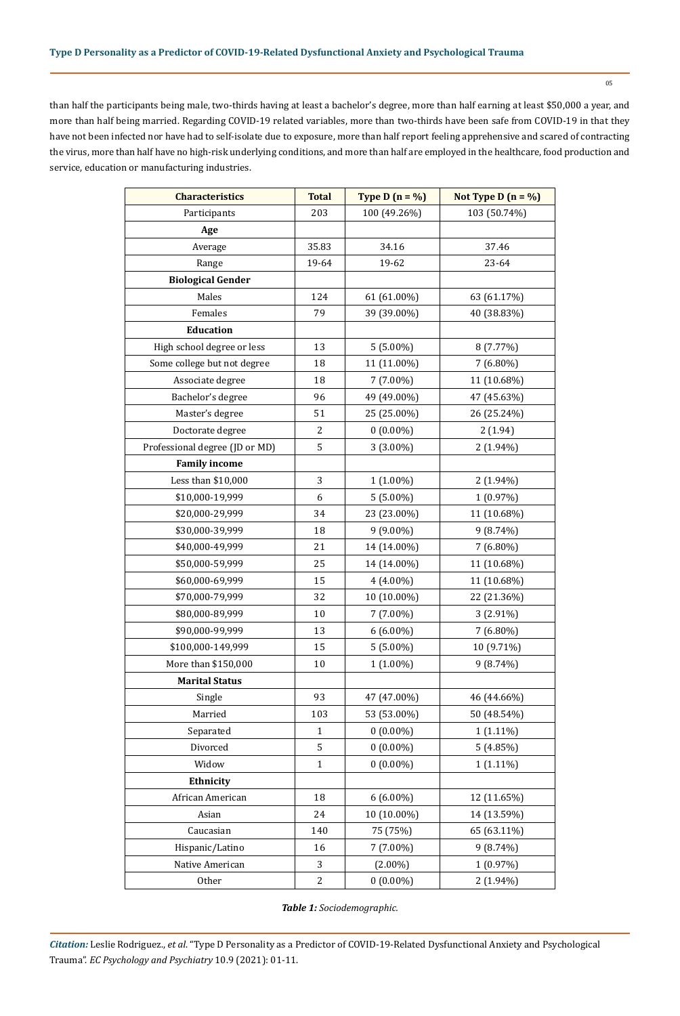than half the participants being male, two-thirds having at least a bachelor's degree, more than half earning at least \$50,000 a year, and more than half being married. Regarding COVID-19 related variables, more than two-thirds have been safe from COVID-19 in that they have not been infected nor have had to self-isolate due to exposure, more than half report feeling apprehensive and scared of contracting the virus, more than half have no high-risk underlying conditions, and more than half are employed in the healthcare, food production and service, education or manufacturing industries.

| <b>Characteristics</b>         | <b>Total</b> | Type D $(n = %)$ | Not Type D $(n = %)$ |  |
|--------------------------------|--------------|------------------|----------------------|--|
| Participants                   | 203          | 100 (49.26%)     | 103 (50.74%)         |  |
| Age                            |              |                  |                      |  |
| Average                        | 35.83        | 34.16            | 37.46                |  |
| Range                          | 19-64        | 19-62            | 23-64                |  |
| <b>Biological Gender</b>       |              |                  |                      |  |
| Males                          | 124          | 61 (61.00%)      | 63 (61.17%)          |  |
| Females                        | 79           | 39 (39.00%)      | 40 (38.83%)          |  |
| Education                      |              |                  |                      |  |
| High school degree or less     | 13           | $5(5.00\%)$      | 8 (7.77%)            |  |
| Some college but not degree    | 18           | 11 (11.00%)      | 7 (6.80%)            |  |
| Associate degree               | 18           | 7 (7.00%)        | 11 (10.68%)          |  |
| Bachelor's degree              | 96           | 49 (49.00%)      | 47 (45.63%)          |  |
| Master's degree                | 51           | 25 (25.00%)      | 26 (25.24%)          |  |
| Doctorate degree               | 2            | $0(0.00\%)$      | 2(1.94)              |  |
| Professional degree (JD or MD) | 5            | 3 (3.00%)        | 2 (1.94%)            |  |
| <b>Family income</b>           |              |                  |                      |  |
| Less than \$10,000             | 3            | $1(1.00\%)$      | $2(1.94\%)$          |  |
| \$10,000-19,999                | 6            | $5(5.00\%)$      | 1 (0.97%)            |  |
| \$20,000-29,999                | 34           | 23 (23.00%)      | 11 (10.68%)          |  |
| \$30,000-39,999                | 18           | 9 (9.00%)        | $9(8.74\%)$          |  |
| \$40,000-49,999                | 21           | 14 (14.00%)      | 7 (6.80%)            |  |
| \$50,000-59,999                | 25           | 14 (14.00%)      | 11 (10.68%)          |  |
| \$60,000-69,999                | 15           | 4 (4.00%)        | 11 (10.68%)          |  |
| \$70,000-79,999                | 32           | 10 (10.00%)      | 22 (21.36%)          |  |
| \$80,000-89,999                | $10\,$       | 7 (7.00%)        | 3 (2.91%)            |  |
| \$90,000-99,999                | 13           | $6(6.00\%)$      | $7(6.80\%)$          |  |
| \$100,000-149,999              | 15           | $5(5.00\%)$      | 10 (9.71%)           |  |
| More than \$150,000            | 10           | 1 (1.00%)        | 9 (8.74%)            |  |
| <b>Marital Status</b>          |              |                  |                      |  |
| Single                         | 93           | 47 (47.00%)      | 46 (44.66%)          |  |
| Married                        | 103          | 53 (53.00%)      | 50 (48.54%)          |  |
| Separated                      | $\mathbf{1}$ | $0(0.00\%)$      | $1(1.11\%)$          |  |
| Divorced                       | 5            | $0(0.00\%)$      | 5(4.85%)             |  |
| Widow                          | $\mathbf{1}$ | $0(0.00\%)$      | $1(1.11\%)$          |  |
| Ethnicity                      |              |                  |                      |  |
| African American               | 18           | $6(6.00\%)$      | 12 (11.65%)          |  |
| Asian                          | 24           | 10 (10.00%)      | 14 (13.59%)          |  |
| Caucasian                      | 140          | 75 (75%)         | 65 (63.11%)          |  |
| Hispanic/Latino                | 16           | $7(7.00\%)$      | $9(8.74\%)$          |  |
| Native American                | 3            | $(2.00\%)$       | 1 (0.97%)            |  |
| Other                          | 2            | $0(0.00\%)$      | 2 (1.94%)            |  |

*Table 1: Sociodemographic.*

*Citation:* Leslie Rodriguez., *et al*. "Type D Personality as a Predictor of COVID-19-Related Dysfunctional Anxiety and Psychological Trauma". *EC Psychology and Psychiatry* 10.9 (2021): 01-11.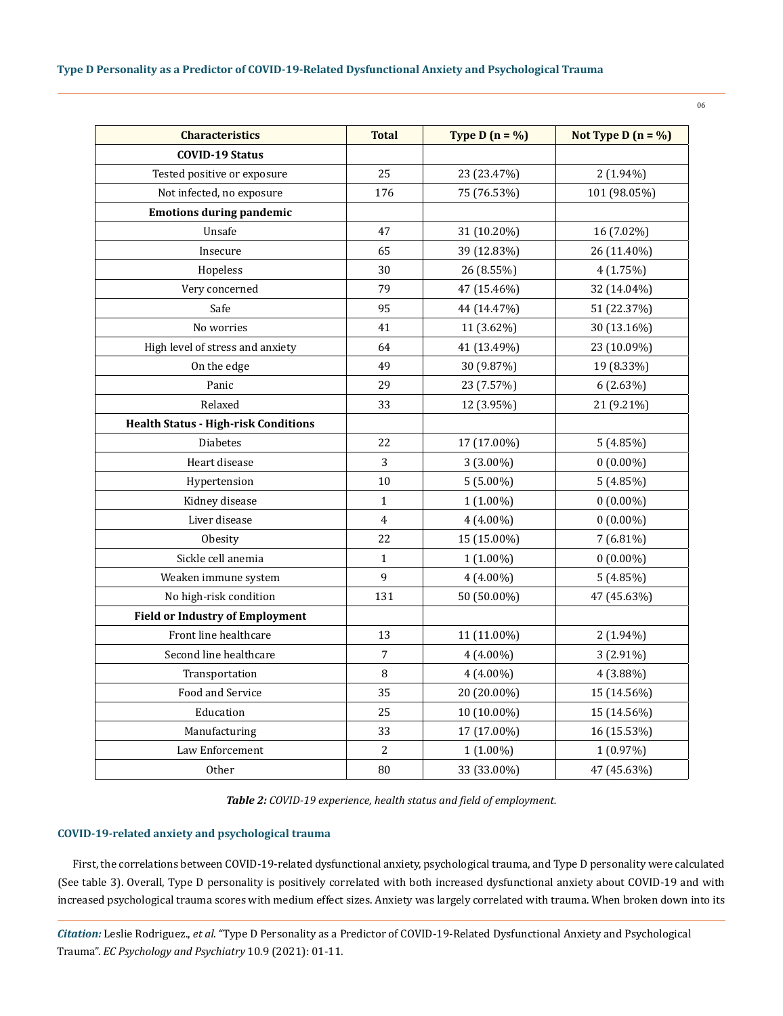| <b>Characteristics</b>                      | <b>Total</b>   | Type D $(n = %)$ | Not Type D $(n = %)$ |
|---------------------------------------------|----------------|------------------|----------------------|
| <b>COVID-19 Status</b>                      |                |                  |                      |
| Tested positive or exposure                 | 25             | 23 (23.47%)      | $2(1.94\%)$          |
| Not infected, no exposure                   | 176            | 75 (76.53%)      | 101 (98.05%)         |
| <b>Emotions during pandemic</b>             |                |                  |                      |
| Unsafe                                      | 47             | 31 (10.20%)      | 16 (7.02%)           |
| Insecure                                    | 65             | 39 (12.83%)      | 26 (11.40%)          |
| Hopeless                                    | 30             | 26 (8.55%)       | 4(1.75%)             |
| Very concerned                              | 79             | 47 (15.46%)      | 32 (14.04%)          |
| Safe                                        | 95             | 44 (14.47%)      | 51 (22.37%)          |
| No worries                                  | 41             | 11 (3.62%)       | 30 (13.16%)          |
| High level of stress and anxiety            | 64             | 41 (13.49%)      | 23 (10.09%)          |
| On the edge                                 | 49             | 30 (9.87%)       | 19 (8.33%)           |
| Panic                                       | 29             | 23 (7.57%)       | $6(2.63\%)$          |
| Relaxed                                     | 33             | 12 (3.95%)       | 21 (9.21%)           |
| <b>Health Status - High-risk Conditions</b> |                |                  |                      |
| <b>Diabetes</b>                             | 22             | 17 (17.00%)      | 5(4.85%)             |
| Heart disease                               | 3              | 3 (3.00%)        | $0(0.00\%)$          |
| Hypertension                                | 10             | $5(5.00\%)$      | 5(4.85%)             |
| Kidney disease                              | $\mathbf{1}$   | 1 (1.00%)        | $0(0.00\%)$          |
| Liver disease                               | $\overline{4}$ | $4(4.00\%)$      | $0(0.00\%)$          |
| Obesity                                     | 22             | 15 (15.00%)      | $7(6.81\%)$          |
| Sickle cell anemia                          | $\mathbf{1}$   | 1 (1.00%)        | $0(0.00\%)$          |
| Weaken immune system                        | 9              | 4 (4.00%)        | 5(4.85%)             |
| No high-risk condition                      | 131            | 50 (50.00%)      | 47 (45.63%)          |
| <b>Field or Industry of Employment</b>      |                |                  |                      |
| Front line healthcare                       | 13             | 11 (11.00%)      | $2(1.94\%)$          |
| Second line healthcare                      | 7              | 4 (4.00%)        | 3 (2.91%)            |
| Transportation                              | 8              | 4 (4.00%)        | 4 (3.88%)            |
| Food and Service                            | 35             | 20 (20.00%)      | 15 (14.56%)          |
| Education                                   | 25             | 10 (10.00%)      | 15 (14.56%)          |
| Manufacturing                               | 33             | 17 (17.00%)      | 16 (15.53%)          |
| Law Enforcement                             | $\sqrt{2}$     | 1 (1.00%)        | $1(0.97\%)$          |
| <b>Other</b>                                | 80             | 33 (33.00%)      | 47 (45.63%)          |

*Table 2: COVID-19 experience, health status and field of employment.*

#### **COVID-19-related anxiety and psychological trauma**

First, the correlations between COVID-19-related dysfunctional anxiety, psychological trauma, and Type D personality were calculated (See table 3). Overall, Type D personality is positively correlated with both increased dysfunctional anxiety about COVID-19 and with increased psychological trauma scores with medium effect sizes. Anxiety was largely correlated with trauma. When broken down into its

*Citation:* Leslie Rodriguez., *et al*. "Type D Personality as a Predictor of COVID-19-Related Dysfunctional Anxiety and Psychological Trauma". *EC Psychology and Psychiatry* 10.9 (2021): 01-11.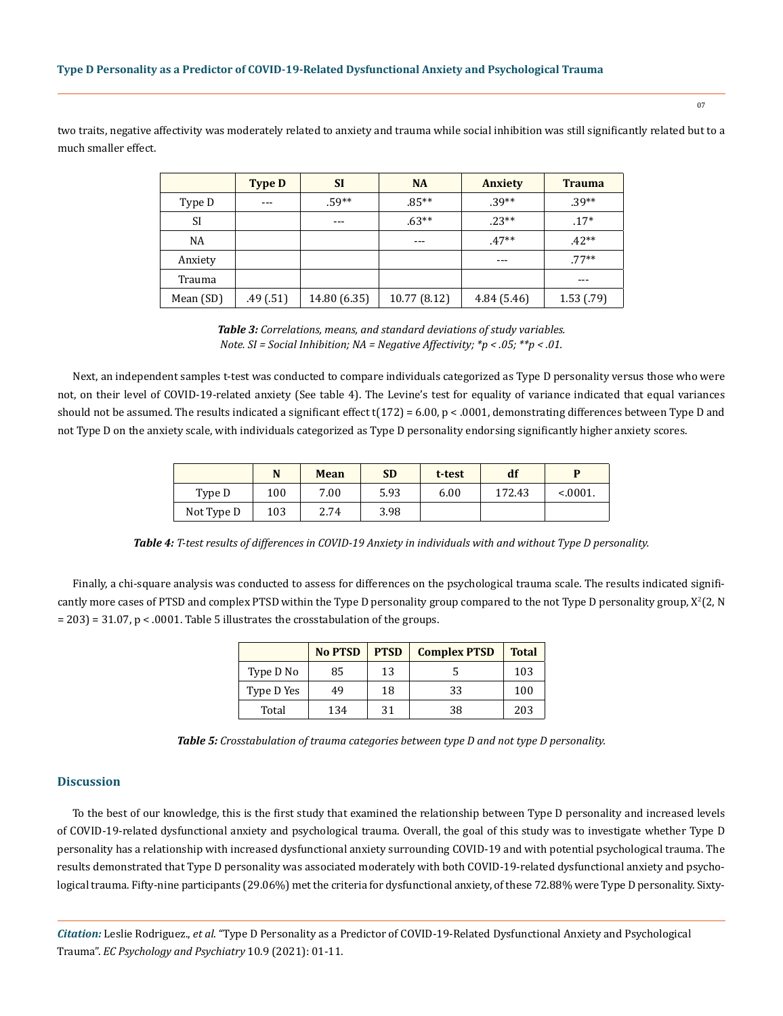two traits, negative affectivity was moderately related to anxiety and trauma while social inhibition was still significantly related but to a much smaller effect.

|           | <b>Type D</b> | <b>SI</b>    | <b>NA</b>    | <b>Anxiety</b> | <b>Trauma</b> |
|-----------|---------------|--------------|--------------|----------------|---------------|
| Type D    | $--$          | $.59**$      | $.85***$     | $.39**$        | $.39**$       |
| <b>SI</b> |               | ---          | $.63**$      | $.23**$        | $.17*$        |
| NA        |               |              | $- - -$      | $.47**$        | $.42**$       |
| Anxiety   |               |              |              |                | $.77**$       |
| Trauma    |               |              |              |                | $- - -$       |
| Mean (SD) | .49(.51)      | 14.80 (6.35) | 10.77 (8.12) | 4.84(5.46)     | 1.53(.79)     |

*Table 3: Correlations, means, and standard deviations of study variables. Note. SI = Social Inhibition; NA = Negative Affectivity; \*p < .05; \*\*p < .01.*

Next, an independent samples t-test was conducted to compare individuals categorized as Type D personality versus those who were not, on their level of COVID-19-related anxiety (See table 4). The Levine's test for equality of variance indicated that equal variances should not be assumed. The results indicated a significant effect  $t(172) = 6.00$ , p < .0001, demonstrating differences between Type D and not Type D on the anxiety scale, with individuals categorized as Type D personality endorsing significantly higher anxiety scores.

|            |     | Mean | <b>SD</b> | t-test | df     | D       |
|------------|-----|------|-----------|--------|--------|---------|
| Type D     | 100 | 7.00 | 5.93      | 6.00   | 172.43 | < 0001. |
| Not Type D | 103 | 2.74 | 3.98      |        |        |         |

*Table 4: T-test results of differences in COVID-19 Anxiety in individuals with and without Type D personality.*

Finally, a chi-square analysis was conducted to assess for differences on the psychological trauma scale. The results indicated significantly more cases of PTSD and complex PTSD within the Type D personality group compared to the not Type D personality group,  $X^2(2,N)$ = 203) = 31.07, p < .0001. Table 5 illustrates the crosstabulation of the groups.

|            | <b>No PTSD</b> | <b>PTSD</b> | <b>Complex PTSD</b> | <b>Total</b> |
|------------|----------------|-------------|---------------------|--------------|
| Type D No  | 85             | 13          |                     | 103          |
| Type D Yes | 49             | 18          | 33                  | 100          |
| Total      | 134            | 31          | 38                  | 203          |

*Table 5: Crosstabulation of trauma categories between type D and not type D personality.*

# **Discussion**

To the best of our knowledge, this is the first study that examined the relationship between Type D personality and increased levels of COVID-19-related dysfunctional anxiety and psychological trauma. Overall, the goal of this study was to investigate whether Type D personality has a relationship with increased dysfunctional anxiety surrounding COVID-19 and with potential psychological trauma. The results demonstrated that Type D personality was associated moderately with both COVID-19-related dysfunctional anxiety and psychological trauma. Fifty-nine participants (29.06%) met the criteria for dysfunctional anxiety, of these 72.88% were Type D personality. Sixty-

*Citation:* Leslie Rodriguez., *et al*. "Type D Personality as a Predictor of COVID-19-Related Dysfunctional Anxiety and Psychological Trauma". *EC Psychology and Psychiatry* 10.9 (2021): 01-11.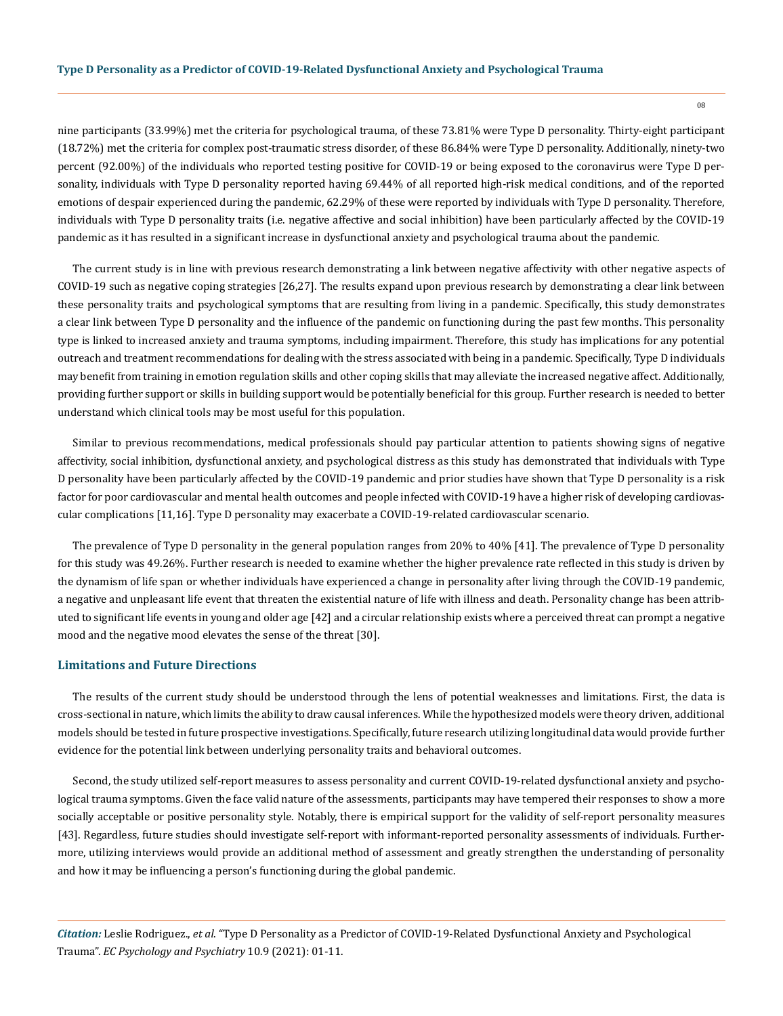nine participants (33.99%) met the criteria for psychological trauma, of these 73.81% were Type D personality. Thirty-eight participant (18.72%) met the criteria for complex post-traumatic stress disorder, of these 86.84% were Type D personality. Additionally, ninety-two percent (92.00%) of the individuals who reported testing positive for COVID-19 or being exposed to the coronavirus were Type D personality, individuals with Type D personality reported having 69.44% of all reported high-risk medical conditions, and of the reported emotions of despair experienced during the pandemic, 62.29% of these were reported by individuals with Type D personality. Therefore, individuals with Type D personality traits (i.e. negative affective and social inhibition) have been particularly affected by the COVID-19 pandemic as it has resulted in a significant increase in dysfunctional anxiety and psychological trauma about the pandemic.

The current study is in line with previous research demonstrating a link between negative affectivity with other negative aspects of COVID-19 such as negative coping strategies [26,27]. The results expand upon previous research by demonstrating a clear link between these personality traits and psychological symptoms that are resulting from living in a pandemic. Specifically, this study demonstrates a clear link between Type D personality and the influence of the pandemic on functioning during the past few months. This personality type is linked to increased anxiety and trauma symptoms, including impairment. Therefore, this study has implications for any potential outreach and treatment recommendations for dealing with the stress associated with being in a pandemic. Specifically, Type D individuals may benefit from training in emotion regulation skills and other coping skills that may alleviate the increased negative affect. Additionally, providing further support or skills in building support would be potentially beneficial for this group. Further research is needed to better understand which clinical tools may be most useful for this population.

Similar to previous recommendations, medical professionals should pay particular attention to patients showing signs of negative affectivity, social inhibition, dysfunctional anxiety, and psychological distress as this study has demonstrated that individuals with Type D personality have been particularly affected by the COVID-19 pandemic and prior studies have shown that Type D personality is a risk factor for poor cardiovascular and mental health outcomes and people infected with COVID-19 have a higher risk of developing cardiovascular complications [11,16]. Type D personality may exacerbate a COVID-19-related cardiovascular scenario.

The prevalence of Type D personality in the general population ranges from 20% to 40% [41]. The prevalence of Type D personality for this study was 49.26%. Further research is needed to examine whether the higher prevalence rate reflected in this study is driven by the dynamism of life span or whether individuals have experienced a change in personality after living through the COVID-19 pandemic, a negative and unpleasant life event that threaten the existential nature of life with illness and death. Personality change has been attributed to significant life events in young and older age [42] and a circular relationship exists where a perceived threat can prompt a negative mood and the negative mood elevates the sense of the threat [30].

# **Limitations and Future Directions**

The results of the current study should be understood through the lens of potential weaknesses and limitations. First, the data is cross-sectional in nature, which limits the ability to draw causal inferences. While the hypothesized models were theory driven, additional models should be tested in future prospective investigations. Specifically, future research utilizing longitudinal data would provide further evidence for the potential link between underlying personality traits and behavioral outcomes.

Second, the study utilized self-report measures to assess personality and current COVID-19-related dysfunctional anxiety and psychological trauma symptoms. Given the face valid nature of the assessments, participants may have tempered their responses to show a more socially acceptable or positive personality style. Notably, there is empirical support for the validity of self-report personality measures [43]. Regardless, future studies should investigate self-report with informant-reported personality assessments of individuals. Furthermore, utilizing interviews would provide an additional method of assessment and greatly strengthen the understanding of personality and how it may be influencing a person's functioning during the global pandemic.

*Citation:* Leslie Rodriguez., *et al*. "Type D Personality as a Predictor of COVID-19-Related Dysfunctional Anxiety and Psychological Trauma". *EC Psychology and Psychiatry* 10.9 (2021): 01-11.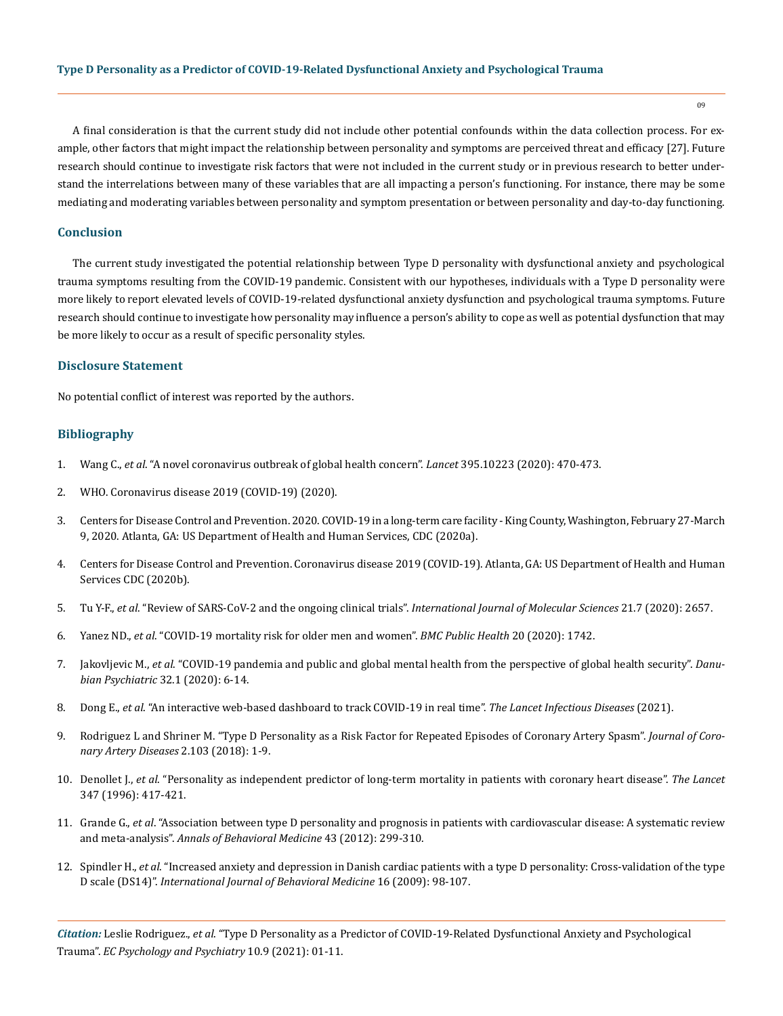A final consideration is that the current study did not include other potential confounds within the data collection process. For example, other factors that might impact the relationship between personality and symptoms are perceived threat and efficacy [27]. Future research should continue to investigate risk factors that were not included in the current study or in previous research to better understand the interrelations between many of these variables that are all impacting a person's functioning. For instance, there may be some mediating and moderating variables between personality and symptom presentation or between personality and day-to-day functioning.

# **Conclusion**

The current study investigated the potential relationship between Type D personality with dysfunctional anxiety and psychological trauma symptoms resulting from the COVID-19 pandemic. Consistent with our hypotheses, individuals with a Type D personality were more likely to report elevated levels of COVID-19-related dysfunctional anxiety dysfunction and psychological trauma symptoms. Future research should continue to investigate how personality may influence a person's ability to cope as well as potential dysfunction that may be more likely to occur as a result of specific personality styles.

#### **Disclosure Statement**

No potential conflict of interest was reported by the authors.

# **Bibliography**

- 1. Wang C., *et al*[. "A novel coronavirus outbreak of global health concern".](https://pubmed.ncbi.nlm.nih.gov/31986257/) *Lancet* 395.10223 (2020): 470-473.
- 2. [WHO. Coronavirus disease 2019 \(COVID-19\) \(2020\).](https://www.who.int/emergencies/diseases/novel-coronavirus-2019/situation-reports)
- 3. [Centers for Disease Control and Prevention. 2020. COVID-19 in a long-term care facility King County, Washington, February 27-March](https://www.cdc.gov/mmwr/volumes/69/wr/mm6912e1.htm)  [9, 2020. Atlanta, GA: US Department of Health and Human Services, CDC \(2020a\).](https://www.cdc.gov/mmwr/volumes/69/wr/mm6912e1.htm)
- 4. [Centers for Disease Control and Prevention. Coronavirus disease 2019 \(COVID-19\). Atlanta, GA: US Department of Health and Human](https://www.cdc.gov/mmwr/volumes/69/wr/mm6912e1.htm)  [Services CDC \(2020b\).](https://www.cdc.gov/mmwr/volumes/69/wr/mm6912e1.htm)
- 5. Tu Y-F., *et al*[. "Review of SARS-CoV-2 and the ongoing clinical trials".](https://pubmed.ncbi.nlm.nih.gov/32290293/) *International Journal of Molecular Sciences* 21.7 (2020): 2657.
- 6. Yanez ND., *et al*[. "COVID-19 mortality risk for older men and women".](https://bmcpublichealth.biomedcentral.com/articles/10.1186/s12889-020-09826-8) *BMC Public Health* 20 (2020): 1742.
- 7. Jakovljevic M., *et al*[. "COVID-19 pandemia and public and global mental health from the perspective of global health security".](https://pubmed.ncbi.nlm.nih.gov/32303023/) *Danubian Psychiatric* [32.1 \(2020\): 6-14.](https://pubmed.ncbi.nlm.nih.gov/32303023/)
- 8. Dong E., *et al*[. "An interactive web-based dashboard to track COVID-19 in real time".](https://www.thelancet.com/journals/laninf/article/PIIS1473-3099(20)30120-1/fulltext) *The Lancet Infectious Diseases* (2021).
- 9. [Rodriguez L and Shriner M. "Type D Personality as a Risk Factor for Repeated Episodes of Coronary Artery Spasm".](https://www.hilarispublisher.com/open-access/type-d-personality-as-a-risk-factor-for-repeated-episodes-of-coronary-artery-spasm.pdf) *Journal of Coro[nary Artery Diseases](https://www.hilarispublisher.com/open-access/type-d-personality-as-a-risk-factor-for-repeated-episodes-of-coronary-artery-spasm.pdf)* 2.103 (2018): 1-9.
- 10. Denollet J., *et al*[. "Personality as independent predictor of long-term mortality in patients with coronary heart disease".](https://pubmed.ncbi.nlm.nih.gov/8618481/) *The Lancet* [347 \(1996\): 417-421.](https://pubmed.ncbi.nlm.nih.gov/8618481/)
- 11. Grande G., *et al*[. "Association between type D personality and prognosis in patients with cardiovascular disease: A systematic review](https://pubmed.ncbi.nlm.nih.gov/22237826/)  and meta-analysis". *[Annals of Behavioral Medicine](https://pubmed.ncbi.nlm.nih.gov/22237826/)* 43 (2012): 299-310.
- 12. Spindler H., *et al*[. "Increased anxiety and depression in Danish cardiac patients with a type D personality: Cross-validation of the type](https://pubmed.ncbi.nlm.nih.gov/19322662/)  D scale (DS14)". *[International Journal of Behavioral Medicine](https://pubmed.ncbi.nlm.nih.gov/19322662/)* 16 (2009): 98-107.

*Citation:* Leslie Rodriguez., *et al*. "Type D Personality as a Predictor of COVID-19-Related Dysfunctional Anxiety and Psychological Trauma". *EC Psychology and Psychiatry* 10.9 (2021): 01-11.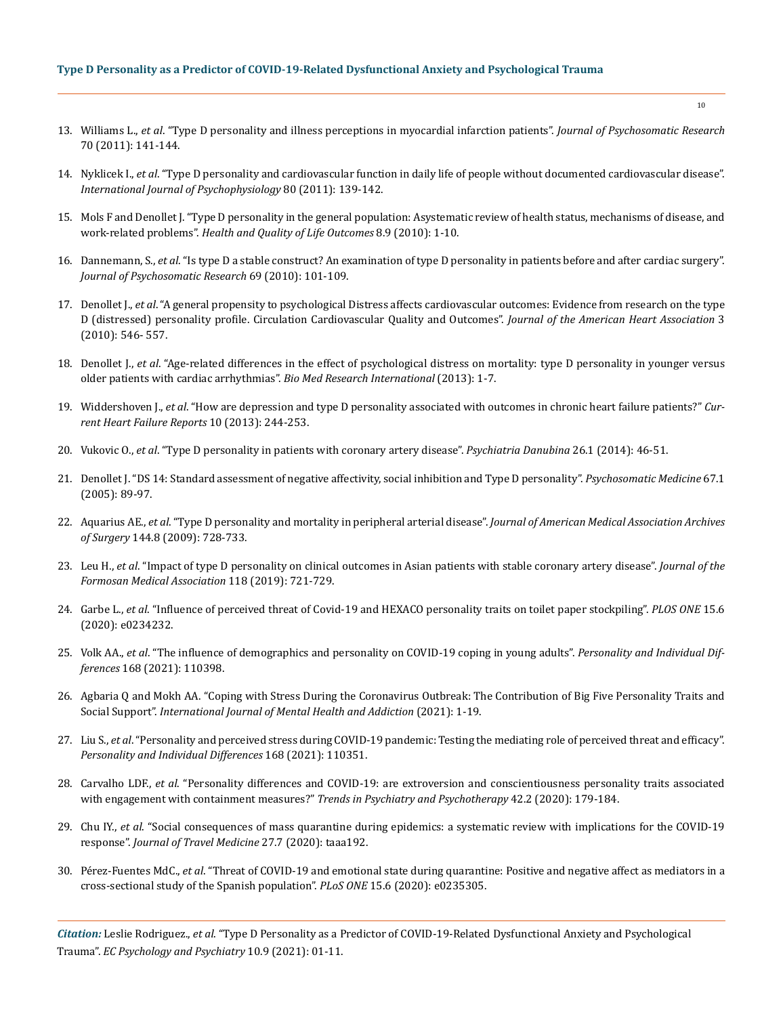# **Type D Personality as a Predictor of COVID-19-Related Dysfunctional Anxiety and Psychological Trauma**

- 13. Williams L., *et al*[. "Type D personality and illness perceptions in myocardial infarction patients".](https://pubmed.ncbi.nlm.nih.gov/21262416/) *Journal of Psychosomatic Research* [70 \(2011\): 141-144.](https://pubmed.ncbi.nlm.nih.gov/21262416/)
- 14. Nyklicek I., *et al*[. "Type D personality and cardiovascular function in daily life of people without documented cardiovascular disease".](https://pubmed.ncbi.nlm.nih.gov/21362446/)  *[International Journal of Psychophysiology](https://pubmed.ncbi.nlm.nih.gov/21362446/)* 80 (2011): 139-142.
- 15. [Mols F and Denollet J. "Type D personality in the general population: Asystematic review of health status, mechanisms of disease, and](https://pubmed.ncbi.nlm.nih.gov/20096129/)  work-related problems". *[Health and Quality of Life Outcomes](https://pubmed.ncbi.nlm.nih.gov/20096129/)* 8.9 (2010): 1-10.
- 16. Dannemann, S., *et al*[. "Is type D a stable construct? An examination of type D personality in patients before and after cardiac surgery".](https://pubmed.ncbi.nlm.nih.gov/20624508/)  *[Journal of Psychosomatic Research](https://pubmed.ncbi.nlm.nih.gov/20624508/)* 69 (2010): 101-109.
- 17. Denollet J., *et al*[. "A general propensity to psychological Distress affects cardiovascular outcomes: Evidence from research on the type](https://pubmed.ncbi.nlm.nih.gov/20841549/)  [D \(distressed\) personality profile. Circulation Cardiovascular Quality and Outcomes".](https://pubmed.ncbi.nlm.nih.gov/20841549/) *Journal of the American Heart Association* 3 [\(2010\): 546- 557.](https://pubmed.ncbi.nlm.nih.gov/20841549/)
- 18. Denollet J., *et al*[. "Age-related differences in the effect of psychological distress on mortality: type D personality in younger versus](https://pubmed.ncbi.nlm.nih.gov/24205502/)  [older patients with cardiac arrhythmias".](https://pubmed.ncbi.nlm.nih.gov/24205502/) *Bio Med Research International* (2013): 1-7.
- 19. Widdershoven J., *et al*[. "How are depression and type D personality associated with outcomes in chronic heart failure patients?"](https://pubmed.ncbi.nlm.nih.gov/23661199/) *Cur[rent Heart Failure Reports](https://pubmed.ncbi.nlm.nih.gov/23661199/)* 10 (2013): 244-253.
- 20. Vukovic O., *et al*[. "Type D personality in patients with coronary artery disease".](https://pubmed.ncbi.nlm.nih.gov/24608156/) *Psychiatria Danubina* 26.1 (2014): 46-51.
- 21. [Denollet J. "DS 14: Standard assessment of negative affectivity, social inhibition and Type D personality".](https://pubmed.ncbi.nlm.nih.gov/15673629/) *Psychosomatic Medicine* 67.1 [\(2005\): 89-97.](https://pubmed.ncbi.nlm.nih.gov/15673629/)
- 22. Aquarius AE., *et al*[. "Type D personality and mortality in peripheral arterial disease".](https://jamanetwork.com/journals/jamasurgery/fullarticle/405206) *Journal of American Medical Association Archives of Surgery* [144.8 \(2009\): 728-733.](https://jamanetwork.com/journals/jamasurgery/fullarticle/405206)
- 23. Leu H., *et al*[. "Impact of type D personality on clinical outcomes in Asian patients with stable coronary artery disease".](https://pubmed.ncbi.nlm.nih.gov/30243505/) *Journal of the [Formosan Medical Association](https://pubmed.ncbi.nlm.nih.gov/30243505/)* 118 (2019): 721-729.
- 24. Garbe L., *et al*[. "Influence of perceived threat of Covid-19 and HEXACO personality traits on toilet paper stockpiling".](https://journals.plos.org/plosone/article?id=10.1371/journal.pone.0234232) *PLOS ONE* 15.6 [\(2020\): e0234232.](https://journals.plos.org/plosone/article?id=10.1371/journal.pone.0234232)
- 25. Volk AA., *et al*[. "The influence of demographics and personality on COVID-19 coping in young adults".](https://www.ncbi.nlm.nih.gov/pmc/articles/PMC7492069/) *Personality and Individual Differences* [168 \(2021\): 110398.](https://www.ncbi.nlm.nih.gov/pmc/articles/PMC7492069/)
- 26. [Agbaria Q and Mokh AA. "Coping with Stress During the Coronavirus Outbreak: The Contribution of Big Five Personality Traits and](https://pubmed.ncbi.nlm.nih.gov/33500687/)  Social Support". *[International Journal of Mental Health and Addiction](https://pubmed.ncbi.nlm.nih.gov/33500687/)* (2021): 1-19.
- 27. Liu S., *et al*[. "Personality and perceived stress during COVID-19 pandemic: Testing the mediating role of perceived threat and efficacy".](https://www.sciencedirect.com/science/article/abs/pii/S0191886920305420)  *[Personality and Individual Differences](https://www.sciencedirect.com/science/article/abs/pii/S0191886920305420)* 168 (2021): 110351.
- 28. Carvalho LDF., *et al*[. "Personality differences and COVID-19: are extroversion and conscientiousness personality traits associated](https://pubmed.ncbi.nlm.nih.gov/32294713/)  [with engagement with containment measures?"](https://pubmed.ncbi.nlm.nih.gov/32294713/) *Trends in Psychiatry and Psychotherapy* 42.2 (2020): 179-184.
- 29. Chu IY., *et al*[. "Social consequences of mass quarantine during epidemics: a systematic review with implications for the COVID-19](https://pubmed.ncbi.nlm.nih.gov/33051660/)  response". *[Journal of Travel Medicine](https://pubmed.ncbi.nlm.nih.gov/33051660/)* 27.7 (2020): taaa192.
- 30. Pérez-Fuentes MdC., *et al*[. "Threat of COVID-19 and emotional state during quarantine: Positive and negative affect as mediators in a](https://journals.plos.org/plosone/article?id=10.1371/journal.pone.0235305)  [cross-sectional study of the Spanish population".](https://journals.plos.org/plosone/article?id=10.1371/journal.pone.0235305) *PLoS ONE* 15.6 (2020): e0235305.

*Citation:* Leslie Rodriguez., *et al*. "Type D Personality as a Predictor of COVID-19-Related Dysfunctional Anxiety and Psychological Trauma". *EC Psychology and Psychiatry* 10.9 (2021): 01-11.